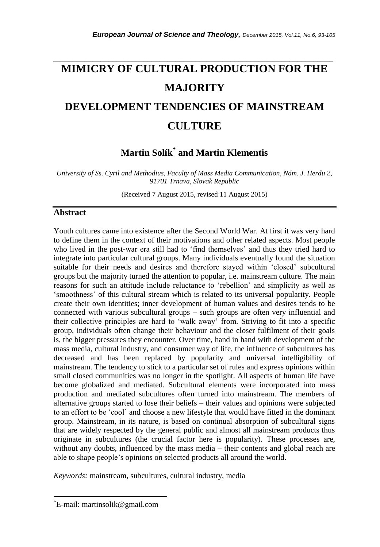# **MIMICRY OF CULTURAL PRODUCTION FOR THE MAJORITY DEVELOPMENT TENDENCIES OF MAINSTREAM CULTURE**

*\_\_\_\_\_\_\_\_\_\_\_\_\_\_\_\_\_\_\_\_\_\_\_\_\_\_\_\_\_\_\_\_\_\_\_\_\_\_\_\_\_\_\_\_\_\_\_\_\_\_\_\_\_\_\_\_\_\_\_\_\_\_\_\_\_\_\_\_\_\_\_*

**Martin Solík\* and Martin Klementis**

*University of Ss. Cyril and Methodius, Faculty of Mass Media Communication, Nám. J. Herdu 2, 91701 Trnava, Slovak Republic*

(Received 7 August 2015, revised 11 August 2015)

#### **Abstract**

Youth cultures came into existence after the Second World War. At first it was very hard to define them in the context of their motivations and other related aspects. Most people who lived in the post-war era still had to "find themselves" and thus they tried hard to integrate into particular cultural groups. Many individuals eventually found the situation suitable for their needs and desires and therefore stayed within "closed" subcultural groups but the majority turned the attention to popular, i.e. mainstream culture. The main reasons for such an attitude include reluctance to "rebellion" and simplicity as well as 'smoothness' of this cultural stream which is related to its universal popularity. People create their own identities; inner development of human values and desires tends to be connected with various subcultural groups – such groups are often very influential and their collective principles are hard to "walk away" from. Striving to fit into a specific group, individuals often change their behaviour and the closer fulfilment of their goals is, the bigger pressures they encounter. Over time, hand in hand with development of the mass media, cultural industry, and consumer way of life, the influence of subcultures has decreased and has been replaced by popularity and universal intelligibility of mainstream. The tendency to stick to a particular set of rules and express opinions within small closed communities was no longer in the spotlight. All aspects of human life have become globalized and mediated. Subcultural elements were incorporated into mass production and mediated subcultures often turned into mainstream. The members of alternative groups started to lose their beliefs – their values and opinions were subjected to an effort to be "cool" and choose a new lifestyle that would have fitted in the dominant group. Mainstream, in its nature, is based on continual absorption of subcultural signs that are widely respected by the general public and almost all mainstream products thus originate in subcultures (the crucial factor here is popularity). These processes are, without any doubts, influenced by the mass media – their contents and global reach are able to shape people"s opinions on selected products all around the world.

*Keywords:* mainstream, subcultures, cultural industry, media

l

<sup>\*</sup>E-mail: martinsolik@gmail.com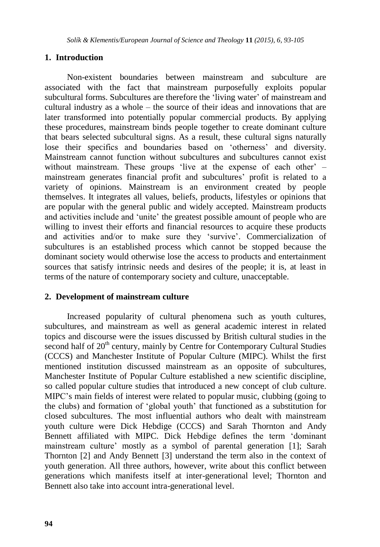# **1. Introduction**

Non-existent boundaries between mainstream and subculture are associated with the fact that mainstream purposefully exploits popular subcultural forms. Subcultures are therefore the "living water" of mainstream and cultural industry as a whole – the source of their ideas and innovations that are later transformed into potentially popular commercial products. By applying these procedures, mainstream binds people together to create dominant culture that bears selected subcultural signs. As a result, these cultural signs naturally lose their specifics and boundaries based on 'otherness' and diversity. Mainstream cannot function without subcultures and subcultures cannot exist without mainstream. These groups 'live at the expense of each other' – mainstream generates financial profit and subcultures' profit is related to a variety of opinions. Mainstream is an environment created by people themselves. It integrates all values, beliefs, products, lifestyles or opinions that are popular with the general public and widely accepted. Mainstream products and activities include and "unite" the greatest possible amount of people who are willing to invest their efforts and financial resources to acquire these products and activities and/or to make sure they 'survive'. Commercialization of subcultures is an established process which cannot be stopped because the dominant society would otherwise lose the access to products and entertainment sources that satisfy intrinsic needs and desires of the people; it is, at least in terms of the nature of contemporary society and culture, unacceptable.

#### **2. Development of mainstream culture**

Increased popularity of cultural phenomena such as youth cultures, subcultures, and mainstream as well as general academic interest in related topics and discourse were the issues discussed by British cultural studies in the second half of  $20<sup>th</sup>$  century, mainly by Centre for Contemporary Cultural Studies (CCCS) and Manchester Institute of Popular Culture (MIPC). Whilst the first mentioned institution discussed mainstream as an opposite of subcultures, Manchester Institute of Popular Culture established a new scientific discipline, so called popular culture studies that introduced a new concept of club culture. MIPC"s main fields of interest were related to popular music, clubbing (going to the clubs) and formation of "global youth" that functioned as a substitution for closed subcultures. The most influential authors who dealt with mainstream youth culture were Dick Hebdige (CCCS) and Sarah Thornton and Andy Bennett affiliated with MIPC. Dick Hebdige defines the term "dominant mainstream culture' mostly as a symbol of parental generation [1]; Sarah Thornton [2] and Andy Bennett [3] understand the term also in the context of youth generation. All three authors, however, write about this conflict between generations which manifests itself at inter-generational level; Thornton and Bennett also take into account intra-generational level.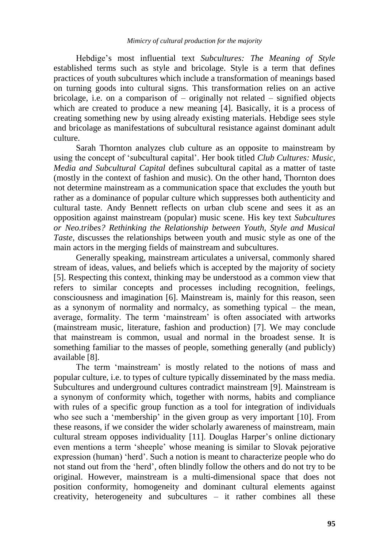Hebdige"s most influential text *Subcultures: The Meaning of Style* established terms such as style and bricolage. Style is a term that defines practices of youth subcultures which include a transformation of meanings based on turning goods into cultural signs. This transformation relies on an active bricolage, i.e. on a comparison of – originally not related – signified objects which are created to produce a new meaning [4]. Basically, it is a process of creating something new by using already existing materials. Hebdige sees style and bricolage as manifestations of subcultural resistance against dominant adult culture.

Sarah Thornton analyzes club culture as an opposite to mainstream by using the concept of "subcultural capital". Her book titled *Club Cultures: Music, Media and Subcultural Capital* defines subcultural capital as a matter of taste (mostly in the context of fashion and music). On the other hand, Thornton does not determine mainstream as a communication space that excludes the youth but rather as a dominance of popular culture which suppresses both authenticity and cultural taste. Andy Bennett reflects on urban club scene and sees it as an opposition against mainstream (popular) music scene. His key text *Subcultures or Neo.tribes? Rethinking the Relationship between Youth, Style and Musical Taste*, discusses the relationships between youth and music style as one of the main actors in the merging fields of mainstream and subcultures.

Generally speaking, mainstream articulates a universal, commonly shared stream of ideas, values, and beliefs which is accepted by the majority of society [5]. Respecting this context, thinking may be understood as a common view that refers to similar concepts and processes including recognition, feelings, consciousness and imagination [6]. Mainstream is, mainly for this reason, seen as a synonym of normality and normalcy, as something typical – the mean, average, formality. The term "mainstream" is often associated with artworks (mainstream music, literature, fashion and production) [7]. We may conclude that mainstream is common, usual and normal in the broadest sense. It is something familiar to the masses of people, something generally (and publicly) available [8].

The term "mainstream" is mostly related to the notions of mass and popular culture, i.e. to types of culture typically disseminated by the mass media. Subcultures and underground cultures contradict mainstream [9]. Mainstream is a synonym of conformity which, together with norms, habits and compliance with rules of a specific group function as a tool for integration of individuals who see such a 'membership' in the given group as very important [10]. From these reasons, if we consider the wider scholarly awareness of mainstream, main cultural stream opposes individuality [11]. Douglas Harper"s online dictionary even mentions a term "sheeple" whose meaning is similar to Slovak pejorative expression (human) "herd". Such a notion is meant to characterize people who do not stand out from the "herd", often blindly follow the others and do not try to be original. However, mainstream is a multi-dimensional space that does not position conformity, homogeneity and dominant cultural elements against creativity, heterogeneity and subcultures – it rather combines all these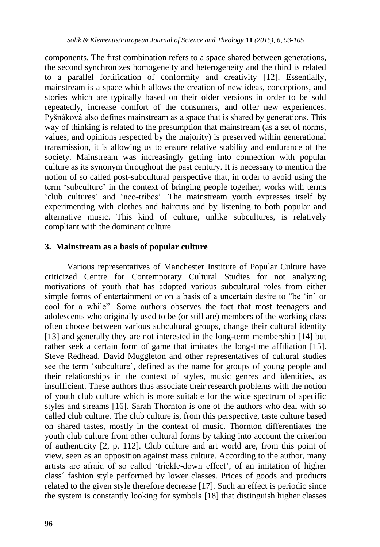components. The first combination refers to a space shared between generations, the second synchronizes homogeneity and heterogeneity and the third is related to a parallel fortification of conformity and creativity [12]. Essentially, mainstream is a space which allows the creation of new ideas, conceptions, and stories which are typically based on their older versions in order to be sold repeatedly, increase comfort of the consumers, and offer new experiences. Pyšnáková also defines mainstream as a space that is shared by generations. This way of thinking is related to the presumption that mainstream (as a set of norms, values, and opinions respected by the majority) is preserved within generational transmission, it is allowing us to ensure relative stability and endurance of the society. Mainstream was increasingly getting into connection with popular culture as its synonym throughout the past century. It is necessary to mention the notion of so called post-subcultural perspective that, in order to avoid using the term "subculture" in the context of bringing people together, works with terms "club cultures" and "neo-tribes". The mainstream youth expresses itself by experimenting with clothes and haircuts and by listening to both popular and alternative music. This kind of culture, unlike subcultures, is relatively compliant with the dominant culture.

#### **3. Mainstream as a basis of popular culture**

Various representatives of Manchester Institute of Popular Culture have criticized Centre for Contemporary Cultural Studies for not analyzing motivations of youth that has adopted various subcultural roles from either simple forms of entertainment or on a basis of a uncertain desire to "be 'in' or cool for a while". Some authors observes the fact that most teenagers and adolescents who originally used to be (or still are) members of the working class often choose between various subcultural groups, change their cultural identity [13] and generally they are not interested in the long-term membership [14] but rather seek a certain form of game that imitates the long-time affiliation [15]. Steve Redhead, David Muggleton and other representatives of cultural studies see the term "subculture", defined as the name for groups of young people and their relationships in the context of styles, music genres and identities, as insufficient. These authors thus associate their research problems with the notion of youth club culture which is more suitable for the wide spectrum of specific styles and streams [16]. Sarah Thornton is one of the authors who deal with so called club culture. The club culture is, from this perspective, taste culture based on shared tastes, mostly in the context of music. Thornton differentiates the youth club culture from other cultural forms by taking into account the criterion of authenticity [2, p. 112]. Club culture and art world are, from this point of view, seen as an opposition against mass culture. According to the author, many artists are afraid of so called "trickle-down effect", of an imitation of higher class´ fashion style performed by lower classes. Prices of goods and products related to the given style therefore decrease [17]. Such an effect is periodic since the system is constantly looking for symbols [18] that distinguish higher classes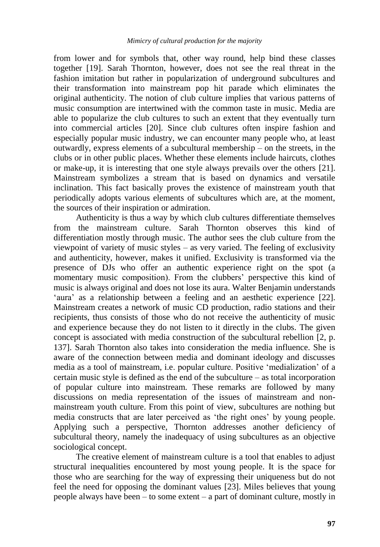from lower and for symbols that, other way round, help bind these classes together [19]. Sarah Thornton, however, does not see the real threat in the fashion imitation but rather in popularization of underground subcultures and their transformation into mainstream pop hit parade which eliminates the original authenticity. The notion of club culture implies that various patterns of music consumption are intertwined with the common taste in music. Media are able to popularize the club cultures to such an extent that they eventually turn into commercial articles [20]. Since club cultures often inspire fashion and especially popular music industry, we can encounter many people who, at least outwardly, express elements of a subcultural membership – on the streets, in the clubs or in other public places. Whether these elements include haircuts, clothes or make-up, it is interesting that one style always prevails over the others [21]. Mainstream symbolizes a stream that is based on dynamics and versatile inclination. This fact basically proves the existence of mainstream youth that periodically adopts various elements of subcultures which are, at the moment, the sources of their inspiration or admiration.

Authenticity is thus a way by which club cultures differentiate themselves from the mainstream culture. Sarah Thornton observes this kind of differentiation mostly through music. The author sees the club culture from the viewpoint of variety of music styles – as very varied. The feeling of exclusivity and authenticity, however, makes it unified. Exclusivity is transformed via the presence of DJs who offer an authentic experience right on the spot (a momentary music composition). From the clubbers' perspective this kind of music is always original and does not lose its aura. Walter Benjamin understands 'aura' as a relationship between a feeling and an aesthetic experience [22]. Mainstream creates a network of music CD production, radio stations and their recipients, thus consists of those who do not receive the authenticity of music and experience because they do not listen to it directly in the clubs. The given concept is associated with media construction of the subcultural rebellion [2, p. 137]. Sarah Thornton also takes into consideration the media influence. She is aware of the connection between media and dominant ideology and discusses media as a tool of mainstream, i.e. popular culture. Positive "medialization" of a certain music style is defined as the end of the subculture – as total incorporation of popular culture into mainstream. These remarks are followed by many discussions on media representation of the issues of mainstream and nonmainstream youth culture. From this point of view, subcultures are nothing but media constructs that are later perceived as "the right ones" by young people. Applying such a perspective, Thornton addresses another deficiency of subcultural theory, namely the inadequacy of using subcultures as an objective sociological concept.

The creative element of mainstream culture is a tool that enables to adjust structural inequalities encountered by most young people. It is the space for those who are searching for the way of expressing their uniqueness but do not feel the need for opposing the dominant values [23]. Miles believes that young people always have been – to some extent – a part of dominant culture, mostly in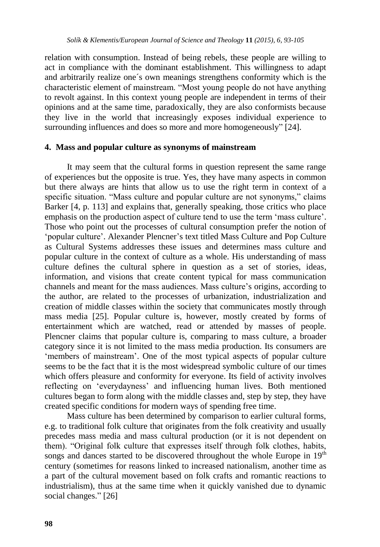relation with consumption. Instead of being rebels, these people are willing to act in compliance with the dominant establishment. This willingness to adapt and arbitrarily realize one´s own meanings strengthens conformity which is the characteristic element of mainstream. "Most young people do not have anything to revolt against. In this context young people are independent in terms of their opinions and at the same time, paradoxically, they are also conformists because they live in the world that increasingly exposes individual experience to surrounding influences and does so more and more homogeneously" [24].

#### **4. Mass and popular culture as synonyms of mainstream**

It may seem that the cultural forms in question represent the same range of experiences but the opposite is true. Yes, they have many aspects in common but there always are hints that allow us to use the right term in context of a specific situation. "Mass culture and popular culture are not synonyms," claims Barker [4, p. 113] and explains that, generally speaking, those critics who place emphasis on the production aspect of culture tend to use the term "mass culture". Those who point out the processes of cultural consumption prefer the notion of "popular culture". Alexander Plencner"s text titled Mass Culture and Pop Culture as Cultural Systems addresses these issues and determines mass culture and popular culture in the context of culture as a whole. His understanding of mass culture defines the cultural sphere in question as a set of stories, ideas, information, and visions that create content typical for mass communication channels and meant for the mass audiences. Mass culture"s origins, according to the author, are related to the processes of urbanization, industrialization and creation of middle classes within the society that communicates mostly through mass media [25]. Popular culture is, however, mostly created by forms of entertainment which are watched, read or attended by masses of people. Plencner claims that popular culture is, comparing to mass culture, a broader category since it is not limited to the mass media production. Its consumers are 'members of mainstream'. One of the most typical aspects of popular culture seems to be the fact that it is the most widespread symbolic culture of our times which offers pleasure and conformity for everyone. Its field of activity involves reflecting on "everydayness" and influencing human lives. Both mentioned cultures began to form along with the middle classes and, step by step, they have created specific conditions for modern ways of spending free time.

Mass culture has been determined by comparison to earlier cultural forms, e.g. to traditional folk culture that originates from the folk creativity and usually precedes mass media and mass cultural production (or it is not dependent on them). "Original folk culture that expresses itself through folk clothes, habits, songs and dances started to be discovered throughout the whole Europe in  $19<sup>th</sup>$ century (sometimes for reasons linked to increased nationalism, another time as a part of the cultural movement based on folk crafts and romantic reactions to industrialism), thus at the same time when it quickly vanished due to dynamic social changes." [26]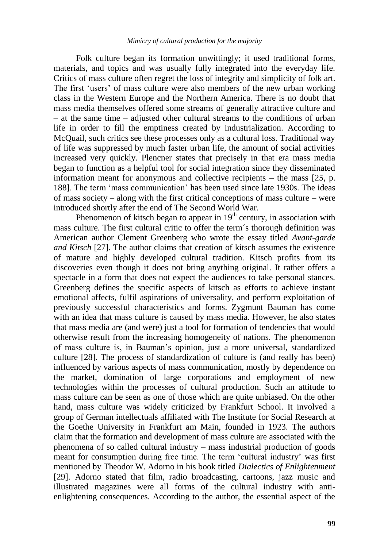Folk culture began its formation unwittingly; it used traditional forms, materials, and topics and was usually fully integrated into the everyday life. Critics of mass culture often regret the loss of integrity and simplicity of folk art. The first "users" of mass culture were also members of the new urban working class in the Western Europe and the Northern America. There is no doubt that mass media themselves offered some streams of generally attractive culture and – at the same time – adjusted other cultural streams to the conditions of urban life in order to fill the emptiness created by industrialization. According to McQuail, such critics see these processes only as a cultural loss. Traditional way of life was suppressed by much faster urban life, the amount of social activities increased very quickly. Plencner states that precisely in that era mass media began to function as a helpful tool for social integration since they disseminated information meant for anonymous and collective recipients – the mass [25, p. 188]. The term "mass communication" has been used since late 1930s. The ideas of mass society – along with the first critical conceptions of mass culture – were introduced shortly after the end of The Second World War.

Phenomenon of kitsch began to appear in  $19<sup>th</sup>$  century, in association with mass culture. The first cultural critic to offer the term´s thorough definition was American author Clement Greenberg who wrote the essay titled *Avant-garde and Kitsch* [27]. The author claims that creation of kitsch assumes the existence of mature and highly developed cultural tradition. Kitsch profits from its discoveries even though it does not bring anything original. It rather offers a spectacle in a form that does not expect the audiences to take personal stances. Greenberg defines the specific aspects of kitsch as efforts to achieve instant emotional affects, fulfil aspirations of universality, and perform exploitation of previously successful characteristics and forms. Zygmunt Bauman has come with an idea that mass culture is caused by mass media. However, he also states that mass media are (and were) just a tool for formation of tendencies that would otherwise result from the increasing homogeneity of nations. The phenomenon of mass culture is, in Bauman"s opinion, just a more universal, standardized culture [28]. The process of standardization of culture is (and really has been) influenced by various aspects of mass communication, mostly by dependence on the market, domination of large corporations and employment of new technologies within the processes of cultural production. Such an attitude to mass culture can be seen as one of those which are quite unbiased. On the other hand, mass culture was widely criticized by Frankfurt School. It involved a group of German intellectuals affiliated with The Institute for Social Research at the Goethe University in Frankfurt am Main, founded in 1923. The authors claim that the formation and development of mass culture are associated with the phenomena of so called cultural industry – mass industrial production of goods meant for consumption during free time. The term "cultural industry" was first mentioned by Theodor W. Adorno in his book titled *Dialectics of Enlightenment* [29]. Adorno stated that film, radio broadcasting, cartoons, jazz music and illustrated magazines were all forms of the cultural industry with antienlightening consequences. According to the author, the essential aspect of the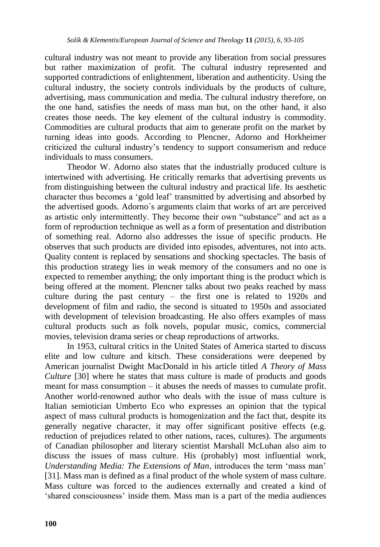cultural industry was not meant to provide any liberation from social pressures but rather maximization of profit. The cultural industry represented and supported contradictions of enlightenment, liberation and authenticity. Using the cultural industry, the society controls individuals by the products of culture, advertising, mass communication and media. The cultural industry therefore, on the one hand, satisfies the needs of mass man but, on the other hand, it also creates those needs. The key element of the cultural industry is commodity. Commodities are cultural products that aim to generate profit on the market by turning ideas into goods. According to Plencner, Adorno and Horkheimer criticized the cultural industry"s tendency to support consumerism and reduce individuals to mass consumers.

Theodor W. Adorno also states that the industrially produced culture is intertwined with advertising. He critically remarks that advertising prevents us from distinguishing between the cultural industry and practical life. Its aesthetic character thus becomes a "gold leaf" transmitted by advertising and absorbed by the advertised goods. Adorno´s arguments claim that works of art are perceived as artistic only intermittently. They become their own "substance" and act as a form of reproduction technique as well as a form of presentation and distribution of something real. Adorno also addresses the issue of specific products. He observes that such products are divided into episodes, adventures, not into acts. Quality content is replaced by sensations and shocking spectacles. The basis of this production strategy lies in weak memory of the consumers and no one is expected to remember anything; the only important thing is the product which is being offered at the moment. Plencner talks about two peaks reached by mass culture during the past century – the first one is related to 1920s and development of film and radio, the second is situated to 1950s and associated with development of television broadcasting. He also offers examples of mass cultural products such as folk novels, popular music, comics, commercial movies, television drama series or cheap reproductions of artworks.

In 1953, cultural critics in the United States of America started to discuss elite and low culture and kitsch. These considerations were deepened by American journalist Dwight MacDonald in his article titled *A Theory of Mass Culture* [30] where he states that mass culture is made of products and goods meant for mass consumption – it abuses the needs of masses to cumulate profit. Another world-renowned author who deals with the issue of mass culture is Italian semiotician Umberto Eco who expresses an opinion that the typical aspect of mass cultural products is homogenization and the fact that, despite its generally negative character, it may offer significant positive effects (e.g. reduction of prejudices related to other nations, races, cultures). The arguments of Canadian philosopher and literary scientist Marshall McLuhan also aim to discuss the issues of mass culture. His (probably) most influential work, *Understanding Media: The Extensions of Man*, introduces the term "mass man" [31]. Mass man is defined as a final product of the whole system of mass culture. Mass culture was forced to the audiences externally and created a kind of "shared consciousness" inside them. Mass man is a part of the media audiences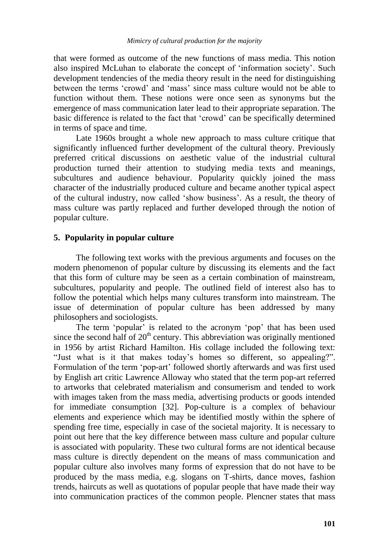that were formed as outcome of the new functions of mass media. This notion also inspired McLuhan to elaborate the concept of "information society". Such development tendencies of the media theory result in the need for distinguishing between the terms "crowd" and "mass" since mass culture would not be able to function without them. These notions were once seen as synonyms but the emergence of mass communication later lead to their appropriate separation. The basic difference is related to the fact that "crowd" can be specifically determined in terms of space and time.

Late 1960s brought a whole new approach to mass culture critique that significantly influenced further development of the cultural theory. Previously preferred critical discussions on aesthetic value of the industrial cultural production turned their attention to studying media texts and meanings, subcultures and audience behaviour. Popularity quickly joined the mass character of the industrially produced culture and became another typical aspect of the cultural industry, now called "show business". As a result, the theory of mass culture was partly replaced and further developed through the notion of popular culture.

## **5. Popularity in popular culture**

The following text works with the previous arguments and focuses on the modern phenomenon of popular culture by discussing its elements and the fact that this form of culture may be seen as a certain combination of mainstream, subcultures, popularity and people. The outlined field of interest also has to follow the potential which helps many cultures transform into mainstream. The issue of determination of popular culture has been addressed by many philosophers and sociologists.

The term 'popular' is related to the acronym 'pop' that has been used since the second half of  $20<sup>th</sup>$  century. This abbreviation was originally mentioned in 1956 by artist Richard Hamilton. His collage included the following text: "Just what is it that makes today"s homes so different, so appealing?". Formulation of the term "pop-art" followed shortly afterwards and was first used by English art critic Lawrence Alloway who stated that the term pop-art referred to artworks that celebrated materialism and consumerism and tended to work with images taken from the mass media, advertising products or goods intended for immediate consumption [32]. Pop-culture is a complex of behaviour elements and experience which may be identified mostly within the sphere of spending free time, especially in case of the societal majority. It is necessary to point out here that the key difference between mass culture and popular culture is associated with popularity. These two cultural forms are not identical because mass culture is directly dependent on the means of mass communication and popular culture also involves many forms of expression that do not have to be produced by the mass media, e.g. slogans on T-shirts, dance moves, fashion trends, haircuts as well as quotations of popular people that have made their way into communication practices of the common people. Plencner states that mass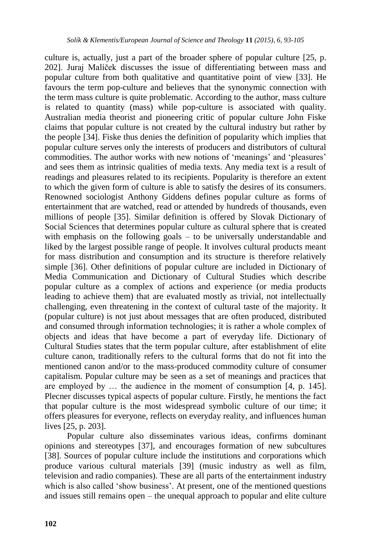culture is, actually, just a part of the broader sphere of popular culture [25, p. 202]. Juraj Malíček discusses the issue of differentiating between mass and popular culture from both qualitative and quantitative point of view [33]. He favours the term pop-culture and believes that the synonymic connection with the term mass culture is quite problematic. According to the author, mass culture is related to quantity (mass) while pop-culture is associated with quality. Australian media theorist and pioneering critic of popular culture John Fiske claims that popular culture is not created by the cultural industry but rather by the people [34]. Fiske thus denies the definition of popularity which implies that popular culture serves only the interests of producers and distributors of cultural commodities. The author works with new notions of 'meanings' and 'pleasures' and sees them as intrinsic qualities of media texts. Any media text is a result of readings and pleasures related to its recipients. Popularity is therefore an extent to which the given form of culture is able to satisfy the desires of its consumers. Renowned sociologist Anthony Giddens defines popular culture as forms of entertainment that are watched, read or attended by hundreds of thousands, even millions of people [35]. Similar definition is offered by Slovak Dictionary of Social Sciences that determines popular culture as cultural sphere that is created with emphasis on the following goals – to be universally understandable and liked by the largest possible range of people. It involves cultural products meant for mass distribution and consumption and its structure is therefore relatively simple [36]. Other definitions of popular culture are included in Dictionary of Media Communication and Dictionary of Cultural Studies which describe popular culture as a complex of actions and experience (or media products leading to achieve them) that are evaluated mostly as trivial, not intellectually challenging, even threatening in the context of cultural taste of the majority. It (popular culture) is not just about messages that are often produced, distributed and consumed through information technologies; it is rather a whole complex of objects and ideas that have become a part of everyday life. Dictionary of Cultural Studies states that the term popular culture, after establishment of elite culture canon, traditionally refers to the cultural forms that do not fit into the mentioned canon and/or to the mass-produced commodity culture of consumer capitalism. Popular culture may be seen as a set of meanings and practices that are employed by … the audience in the moment of consumption [4, p. 145]. Plecner discusses typical aspects of popular culture. Firstly, he mentions the fact that popular culture is the most widespread symbolic culture of our time; it offers pleasures for everyone, reflects on everyday reality, and influences human lives [25, p. 203].

Popular culture also disseminates various ideas, confirms dominant opinions and stereotypes [37], and encourages formation of new subcultures [38]. Sources of popular culture include the institutions and corporations which produce various cultural materials [39] (music industry as well as film, television and radio companies). These are all parts of the entertainment industry which is also called 'show business'. At present, one of the mentioned questions and issues still remains open – the unequal approach to popular and elite culture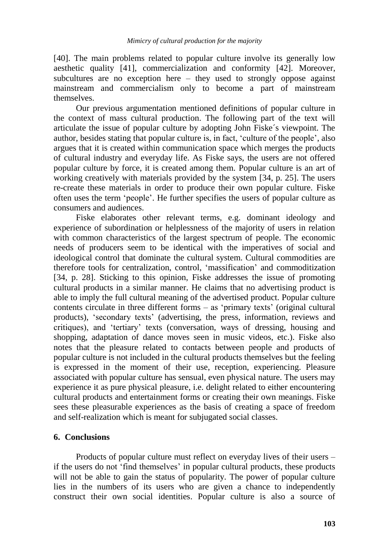[40]. The main problems related to popular culture involve its generally low aesthetic quality [41], commercialization and conformity [42]. Moreover, subcultures are no exception here – they used to strongly oppose against mainstream and commercialism only to become a part of mainstream themselves.

Our previous argumentation mentioned definitions of popular culture in the context of mass cultural production. The following part of the text will articulate the issue of popular culture by adopting John Fiske´s viewpoint. The author, besides stating that popular culture is, in fact, "culture of the people", also argues that it is created within communication space which merges the products of cultural industry and everyday life. As Fiske says, the users are not offered popular culture by force, it is created among them. Popular culture is an art of working creatively with materials provided by the system [34, p. 25]. The users re-create these materials in order to produce their own popular culture. Fiske often uses the term "people". He further specifies the users of popular culture as consumers and audiences.

Fiske elaborates other relevant terms, e.g. dominant ideology and experience of subordination or helplessness of the majority of users in relation with common characteristics of the largest spectrum of people. The economic needs of producers seem to be identical with the imperatives of social and ideological control that dominate the cultural system. Cultural commodities are therefore tools for centralization, control, "massification" and commoditization [34, p. 28]. Sticking to this opinion, Fiske addresses the issue of promoting cultural products in a similar manner. He claims that no advertising product is able to imply the full cultural meaning of the advertised product. Popular culture contents circulate in three different forms  $-$  as 'primary texts' (original cultural products), "secondary texts" (advertising, the press, information, reviews and critiques), and "tertiary" texts (conversation, ways of dressing, housing and shopping, adaptation of dance moves seen in music videos, etc.). Fiske also notes that the pleasure related to contacts between people and products of popular culture is not included in the cultural products themselves but the feeling is expressed in the moment of their use, reception, experiencing. Pleasure associated with popular culture has sensual, even physical nature. The users may experience it as pure physical pleasure, i.e. delight related to either encountering cultural products and entertainment forms or creating their own meanings. Fiske sees these pleasurable experiences as the basis of creating a space of freedom and self-realization which is meant for subjugated social classes.

#### **6. Conclusions**

Products of popular culture must reflect on everyday lives of their users – if the users do not "find themselves" in popular cultural products, these products will not be able to gain the status of popularity. The power of popular culture lies in the numbers of its users who are given a chance to independently construct their own social identities. Popular culture is also a source of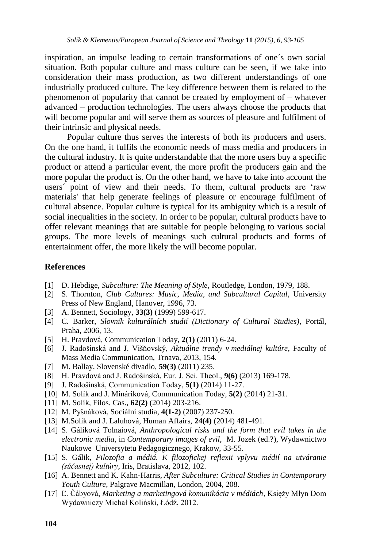inspiration, an impulse leading to certain transformations of one´s own social situation. Both popular culture and mass culture can be seen, if we take into consideration their mass production, as two different understandings of one industrially produced culture. The key difference between them is related to the phenomenon of popularity that cannot be created by employment of – whatever advanced – production technologies. The users always choose the products that will become popular and will serve them as sources of pleasure and fulfilment of their intrinsic and physical needs.

Popular culture thus serves the interests of both its producers and users. On the one hand, it fulfils the economic needs of mass media and producers in the cultural industry. It is quite understandable that the more users buy a specific product or attend a particular event, the more profit the producers gain and the more popular the product is. On the other hand, we have to take into account the users´ point of view and their needs. To them, cultural products are "raw materials' that help generate feelings of pleasure or encourage fulfilment of cultural absence. Popular culture is typical for its ambiguity which is a result of social inequalities in the society. In order to be popular, cultural products have to offer relevant meanings that are suitable for people belonging to various social groups. The more levels of meanings such cultural products and forms of entertainment offer, the more likely the will become popular.

## **References**

- [1] D. Hebdige, *Subculture: The Meaning of Style*, Routledge, London, 1979, 188.
- [2] S. Thornton, *Club Cultures: Music, Media, and Subcultural Capital*, University Press of New England, Hanover, 1996, 73.
- [3] A. Bennett, Sociology, **33(3)** (1999) 599-617.
- [4] C. Barker, *Slovník kulturálních studií (Dictionary of Cultural Studies)*, Portál, Praha, 2006, 13.
- [5] H. Pravdová, Communication Today, **2(1)** (2011) 6-24.
- [6] J. Radošinská and J. Višňovský, *Aktuálne trendy v mediálnej kultúre*, Faculty of Mass Media Communication, Trnava, 2013, 154.
- [7] M. Ballay, Slovenské divadlo, **59(3)** (2011) 235.
- [8] H. Pravdová and J. Radošinská, Eur. J. Sci. Theol., **9(6)** (2013) 169-178.
- [9] J. Radošinská, Communication Today, **5(1)** (2014) 11-27.
- [10] M. Solík and J. Mináriková, Communication Today, **5(2)** (2014) 21-31.
- [11] M. Solík, Filos. Cas., **62(2)** (2014) 203-216.
- [12] M. Pyšnáková, Sociální studia, **4(1-2)** (2007) 237-250.
- [13] M.Solík and J. Laluhová, Human Affairs, **24(4)** (2014) 481-491.
- [14] S. Gáliková Tolnaiová, *Anthropological risks and the form that evil takes in the electronic media*, in *Contemporary images of evil*, M. Jozek (ed.?), Wydawnictwo Naukowe Universytetu Pedagogicznego, Krakow, 33-55.
- [15] S. Gálik, *Filozofia a médiá. K filozofickej reflexii vplyvu médií na utváranie (súčasnej) kultúry*, Iris, Bratislava, 2012, 102.
- [16] A. Bennett and K. Kahn-Harris, *After Subculture: Critical Studies in Contemporary Youth Culture*, Palgrave Macmillan, London, 2004, 208.
- [17] Ľ. Čábyová, *Marketing a marketingová komunikácia v médiách*, Księży Młyn Dom Wydawniczy Michał Koliński, Łódź, 2012.